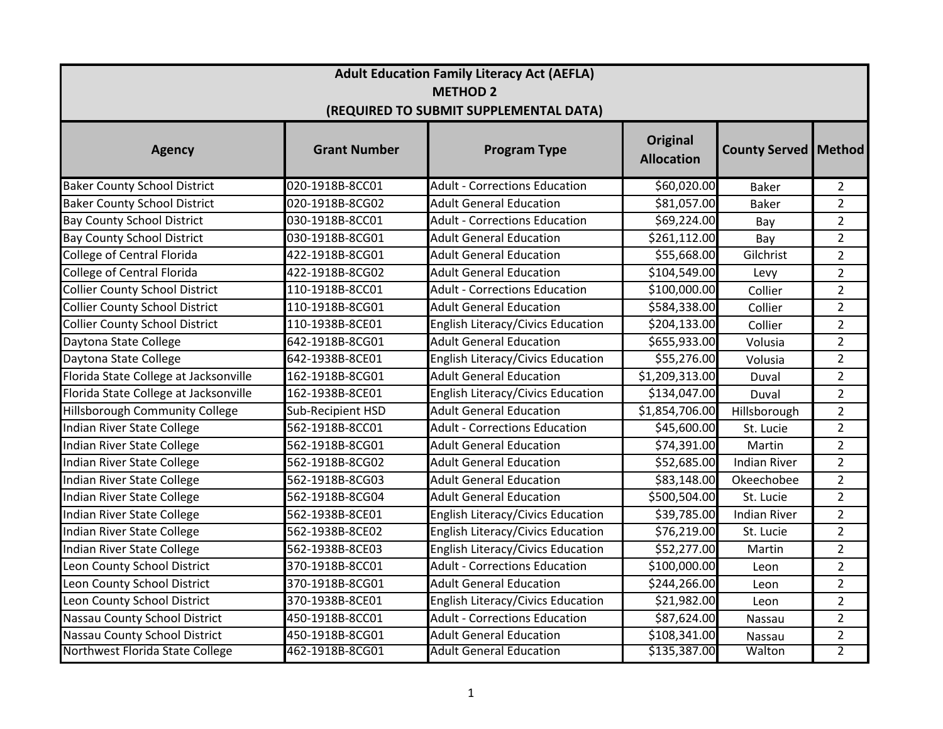| <b>Adult Education Family Literacy Act (AEFLA)</b>        |                   |                                          |                |                     |                |  |  |  |
|-----------------------------------------------------------|-------------------|------------------------------------------|----------------|---------------------|----------------|--|--|--|
| <b>METHOD 2</b><br>(REQUIRED TO SUBMIT SUPPLEMENTAL DATA) |                   |                                          |                |                     |                |  |  |  |
|                                                           |                   |                                          |                |                     |                |  |  |  |
| <b>Baker County School District</b>                       | 020-1918B-8CC01   | <b>Adult - Corrections Education</b>     | \$60,020.00    | <b>Baker</b>        | $\overline{2}$ |  |  |  |
| <b>Baker County School District</b>                       | 020-1918B-8CG02   | <b>Adult General Education</b>           | \$81,057.00    | <b>Baker</b>        | $\overline{2}$ |  |  |  |
| <b>Bay County School District</b>                         | 030-1918B-8CC01   | <b>Adult - Corrections Education</b>     | \$69,224.00    | Bay                 | $\overline{2}$ |  |  |  |
| <b>Bay County School District</b>                         | 030-1918B-8CG01   | <b>Adult General Education</b>           | \$261,112.00   | Bay                 | $\overline{2}$ |  |  |  |
| College of Central Florida                                | 422-1918B-8CG01   | <b>Adult General Education</b>           | \$55,668.00    | Gilchrist           | $\overline{2}$ |  |  |  |
| <b>College of Central Florida</b>                         | 422-1918B-8CG02   | <b>Adult General Education</b>           | \$104,549.00   | Levy                | $\overline{2}$ |  |  |  |
| <b>Collier County School District</b>                     | 110-1918B-8CC01   | <b>Adult - Corrections Education</b>     | \$100,000.00   | Collier             | $\overline{2}$ |  |  |  |
| <b>Collier County School District</b>                     | 110-1918B-8CG01   | <b>Adult General Education</b>           | \$584,338.00   | Collier             | $\overline{2}$ |  |  |  |
| <b>Collier County School District</b>                     | 110-1938B-8CE01   | English Literacy/Civics Education        | \$204,133.00   | Collier             | $\overline{2}$ |  |  |  |
| Daytona State College                                     | 642-1918B-8CG01   | <b>Adult General Education</b>           | \$655,933.00   | Volusia             | $\overline{2}$ |  |  |  |
| Daytona State College                                     | 642-1938B-8CE01   | <b>English Literacy/Civics Education</b> | \$55,276.00    | Volusia             | $\overline{2}$ |  |  |  |
| Florida State College at Jacksonville                     | 162-1918B-8CG01   | <b>Adult General Education</b>           | \$1,209,313.00 | Duval               | $\overline{2}$ |  |  |  |
| Florida State College at Jacksonville                     | 162-1938B-8CE01   | <b>English Literacy/Civics Education</b> | \$134,047.00   | Duval               | $\overline{2}$ |  |  |  |
| <b>Hillsborough Community College</b>                     | Sub-Recipient HSD | <b>Adult General Education</b>           | \$1,854,706.00 | Hillsborough        | $\overline{2}$ |  |  |  |
| Indian River State College                                | 562-1918B-8CC01   | <b>Adult - Corrections Education</b>     | \$45,600.00    | St. Lucie           | $\overline{2}$ |  |  |  |
| Indian River State College                                | 562-1918B-8CG01   | <b>Adult General Education</b>           | \$74,391.00    | Martin              | $\overline{2}$ |  |  |  |
| Indian River State College                                | 562-1918B-8CG02   | <b>Adult General Education</b>           | \$52,685.00    | <b>Indian River</b> | $\overline{2}$ |  |  |  |
| Indian River State College                                | 562-1918B-8CG03   | <b>Adult General Education</b>           | \$83,148.00    | Okeechobee          | $\overline{2}$ |  |  |  |
| Indian River State College                                | 562-1918B-8CG04   | <b>Adult General Education</b>           | \$500,504.00   | St. Lucie           | $\overline{2}$ |  |  |  |
| Indian River State College                                | 562-1938B-8CE01   | English Literacy/Civics Education        | \$39,785.00    | <b>Indian River</b> | $\overline{2}$ |  |  |  |
| Indian River State College                                | 562-1938B-8CE02   | English Literacy/Civics Education        | \$76,219.00    | St. Lucie           | $\overline{2}$ |  |  |  |
| Indian River State College                                | 562-1938B-8CE03   | English Literacy/Civics Education        | \$52,277.00    | Martin              | $\overline{2}$ |  |  |  |
| Leon County School District                               | 370-1918B-8CC01   | <b>Adult - Corrections Education</b>     | \$100,000.00   | Leon                | $\overline{2}$ |  |  |  |
| Leon County School District                               | 370-1918B-8CG01   | <b>Adult General Education</b>           | \$244,266.00   | Leon                | $\overline{2}$ |  |  |  |
| Leon County School District                               | 370-1938B-8CE01   | English Literacy/Civics Education        | \$21,982.00    | Leon                | $\overline{2}$ |  |  |  |
| Nassau County School District                             | 450-1918B-8CC01   | <b>Adult - Corrections Education</b>     | \$87,624.00    | Nassau              | $\overline{2}$ |  |  |  |
| Nassau County School District                             | 450-1918B-8CG01   | <b>Adult General Education</b>           | \$108,341.00   | Nassau              | $\overline{2}$ |  |  |  |
| Northwest Florida State College                           | 462-1918B-8CG01   | <b>Adult General Education</b>           | \$135,387.00   | Walton              | $\overline{2}$ |  |  |  |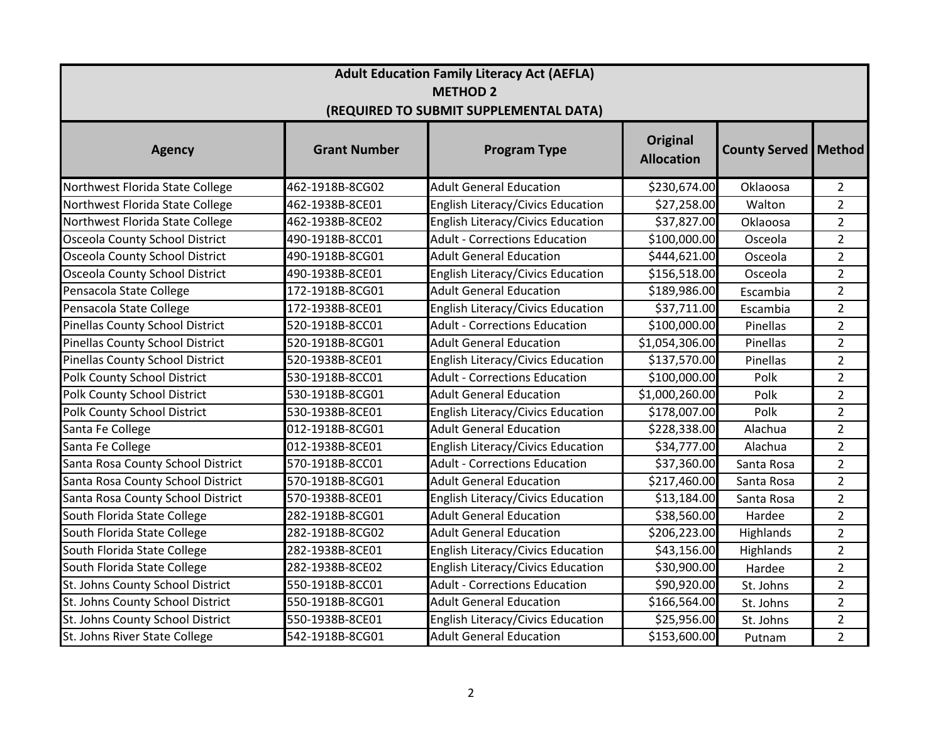| <b>Adult Education Family Literacy Act (AEFLA)</b>        |                     |                                          |                                      |                               |                |  |  |  |  |
|-----------------------------------------------------------|---------------------|------------------------------------------|--------------------------------------|-------------------------------|----------------|--|--|--|--|
| <b>METHOD 2</b><br>(REQUIRED TO SUBMIT SUPPLEMENTAL DATA) |                     |                                          |                                      |                               |                |  |  |  |  |
| <b>Agency</b>                                             | <b>Grant Number</b> | <b>Program Type</b>                      | <b>Original</b><br><b>Allocation</b> | <b>County Served   Method</b> |                |  |  |  |  |
| Northwest Florida State College                           | 462-1918B-8CG02     | <b>Adult General Education</b>           | \$230,674.00                         | Oklaoosa                      | $\overline{2}$ |  |  |  |  |
| Northwest Florida State College                           | 462-1938B-8CE01     | English Literacy/Civics Education        | \$27,258.00                          | Walton                        | $\overline{2}$ |  |  |  |  |
| Northwest Florida State College                           | 462-1938B-8CE02     | English Literacy/Civics Education        | \$37,827.00                          | Oklaoosa                      | $\overline{2}$ |  |  |  |  |
| Osceola County School District                            | 490-1918B-8CC01     | <b>Adult - Corrections Education</b>     | \$100,000.00                         | Osceola                       | $\overline{2}$ |  |  |  |  |
| Osceola County School District                            | 490-1918B-8CG01     | <b>Adult General Education</b>           | \$444,621.00                         | Osceola                       | $\overline{2}$ |  |  |  |  |
| Osceola County School District                            | 490-1938B-8CE01     | <b>English Literacy/Civics Education</b> | \$156,518.00                         | Osceola                       | $\overline{2}$ |  |  |  |  |
| Pensacola State College                                   | 172-1918B-8CG01     | <b>Adult General Education</b>           | \$189,986.00                         | Escambia                      | $\overline{2}$ |  |  |  |  |
| Pensacola State College                                   | 172-1938B-8CE01     | English Literacy/Civics Education        | \$37,711.00                          | Escambia                      | $\overline{2}$ |  |  |  |  |
| Pinellas County School District                           | 520-1918B-8CC01     | <b>Adult - Corrections Education</b>     | \$100,000.00                         | Pinellas                      | $\overline{2}$ |  |  |  |  |
| Pinellas County School District                           | 520-1918B-8CG01     | <b>Adult General Education</b>           | \$1,054,306.00                       | Pinellas                      | $\overline{2}$ |  |  |  |  |
| <b>Pinellas County School District</b>                    | 520-1938B-8CE01     | English Literacy/Civics Education        | \$137,570.00                         | Pinellas                      | $\overline{2}$ |  |  |  |  |
| Polk County School District                               | 530-1918B-8CC01     | <b>Adult - Corrections Education</b>     | \$100,000.00                         | Polk                          | $\overline{2}$ |  |  |  |  |
| Polk County School District                               | 530-1918B-8CG01     | <b>Adult General Education</b>           | \$1,000,260.00                       | Polk                          | $\overline{2}$ |  |  |  |  |
| Polk County School District                               | 530-1938B-8CE01     | English Literacy/Civics Education        | \$178,007.00                         | Polk                          | $\overline{2}$ |  |  |  |  |
| Santa Fe College                                          | 012-1918B-8CG01     | <b>Adult General Education</b>           | \$228,338.00                         | Alachua                       | $\overline{2}$ |  |  |  |  |
| Santa Fe College                                          | 012-1938B-8CE01     | <b>English Literacy/Civics Education</b> | \$34,777.00                          | Alachua                       | $\overline{2}$ |  |  |  |  |
| Santa Rosa County School District                         | 570-1918B-8CC01     | <b>Adult - Corrections Education</b>     | \$37,360.00                          | Santa Rosa                    | $\overline{2}$ |  |  |  |  |
| Santa Rosa County School District                         | 570-1918B-8CG01     | <b>Adult General Education</b>           | \$217,460.00                         | Santa Rosa                    | $\overline{2}$ |  |  |  |  |
| Santa Rosa County School District                         | 570-1938B-8CE01     | English Literacy/Civics Education        | \$13,184.00                          | Santa Rosa                    | $\overline{2}$ |  |  |  |  |
| South Florida State College                               | 282-1918B-8CG01     | <b>Adult General Education</b>           | \$38,560.00                          | Hardee                        | $\overline{2}$ |  |  |  |  |
| South Florida State College                               | 282-1918B-8CG02     | <b>Adult General Education</b>           | \$206,223.00                         | Highlands                     | $\overline{2}$ |  |  |  |  |
| South Florida State College                               | 282-1938B-8CE01     | English Literacy/Civics Education        | \$43,156.00                          | Highlands                     | $\overline{2}$ |  |  |  |  |
| South Florida State College                               | 282-1938B-8CE02     | English Literacy/Civics Education        | \$30,900.00                          | Hardee                        | $\overline{2}$ |  |  |  |  |
| St. Johns County School District                          | 550-1918B-8CC01     | <b>Adult - Corrections Education</b>     | \$90,920.00                          | St. Johns                     | $\overline{2}$ |  |  |  |  |
| St. Johns County School District                          | 550-1918B-8CG01     | <b>Adult General Education</b>           | \$166,564.00                         | St. Johns                     | $\overline{2}$ |  |  |  |  |
| St. Johns County School District                          | 550-1938B-8CE01     | English Literacy/Civics Education        | \$25,956.00                          | St. Johns                     | $\overline{2}$ |  |  |  |  |
| St. Johns River State College                             | 542-1918B-8CG01     | <b>Adult General Education</b>           | \$153,600.00                         | Putnam                        | $\overline{2}$ |  |  |  |  |